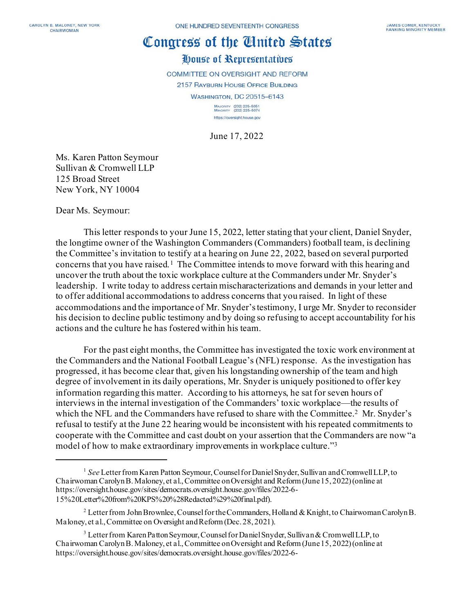# Congress of the United States

# House of Representatives

COMMITTEE ON OVERSIGHT AND REFORM

2157 RAYBURN HOUSE OFFICE BUILDING

**WASHINGTON, DC 20515-6143** 

MAJORITY (202) 225-5051<br>MINORITY (202) 225-5074 https://oversight.house.gov

June 17, 2022

Ms. Karen Patton Seymour Sullivan & Cromwell LLP 125 Broad Street New York, NY 10004

Dear Ms. Seymour:

This letter responds to your June 15, 2022, letter stating that your client, Daniel Snyder, the longtime owner of the Washington Commanders (Commanders) football team, is declining the Committee's invitation to testify at a hearing on June 22, 2022, based on several purported concerns that you have raised.[1](#page-0-0) The Committee intends to move forward with this hearing and uncover the truth about the toxic workplace culture at the Commanders under Mr. Snyder's leadership. I write today to address certain mischaracterizations and demands in your letter and to offer additional accommodations to address concerns that you raised. In light of these accommodations and the importance of Mr. Snyder's testimony, I urge Mr. Snyder to reconsider his decision to decline public testimony and by doing so refusing to accept accountability for his actions and the culture he has fostered within his team.

For the past eight months, the Committee has investigated the toxic work environment at the Commanders and the National Football League's (NFL) response. As the investigation has progressed, it has become clear that, given his longstanding ownership of the team and high degree of involvement in its daily operations, Mr. Snyder is uniquely positioned to offer key information regarding this matter. According to his attorneys, he sat for seven hours of interviews in the internal investigation of the Commanders' toxic workplace—the results of which the NFL and the Commanders have refused to share with the Committee.<sup>2</sup> Mr. Snyder's refusal to testify at the June 22 hearing would be inconsistent with his repeated commitments to cooperate with the Committee and cast doubt on your assertion that the Commanders are now "a model of how to make extraordinary improvements in workplace culture."[3](#page-0-2)

<span id="page-0-0"></span><sup>&</sup>lt;sup>1</sup> See Letter from Karen Patton Seymour, Counsel for Daniel Snyder, Sullivan and Cromwell LLP, to Chairwoman Carolyn B. Maloney, et al., Committee on Oversight and Reform(June 15, 2022) (online at https://oversight.house.gov/sites/democrats.oversight.house.gov/files/2022-6- 15%20Letter%20from%20KPS%20%28Redacted%29%20final.pdf).

<span id="page-0-1"></span><sup>&</sup>lt;sup>2</sup> Letter from John Brownlee, Counsel for the Commanders, Holland & Knight, to Chairwoman Carolyn B. Maloney, et al., Committee on Oversight and Reform (Dec. 28, 2021).

<span id="page-0-2"></span> $3$  Letter from Karen Patton Seymour, Counsel for Daniel Snyder, Sullivan & Cromwell LLP, to Chairwoman Carolyn B. Maloney, et al., Committee on Oversight and Reform (June 15, 2022) (online at https://oversight.house.gov/sites/democrats.oversight.house.gov/files/2022-6-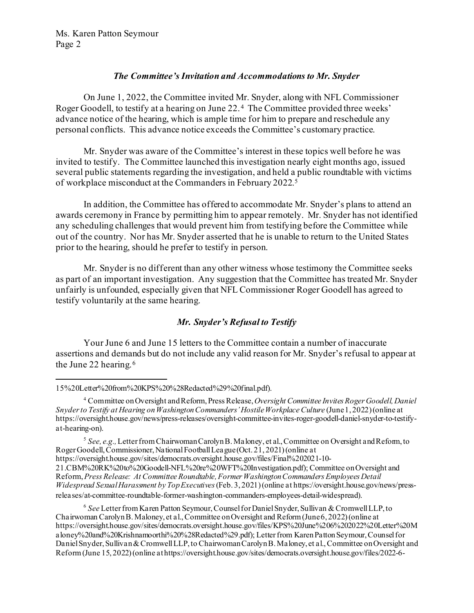## *The Committee's Invitation and Accommodations to Mr. Snyder*

On June 1, 2022, the Committee invited Mr. Snyder, along with NFL Commissioner Roger Goodell, to testify at a hearing on June 22. [4](#page-1-0) The Committee provided three weeks' advance notice of the hearing, which is ample time for him to prepare and reschedule any personal conflicts. This advance notice exceeds the Committee's customary practice.

Mr. Snyder was aware of the Committee's interest in these topics well before he was invited to testify. The Committee launched this investigation nearly eight months ago, issued several public statements regarding the investigation, and held a public roundtable with victims of workplace misconduct at the Commanders in February 2022.[5](#page-1-1) 

In addition, the Committee has offered to accommodate Mr. Snyder's plans to attend an awards ceremony in France by permitting him to appear remotely. Mr. Snyder has not identified any scheduling challenges that would prevent him from testifying before the Committee while out of the country. Nor has Mr. Snyder asserted that he is unable to return to the United States prior to the hearing, should he prefer to testify in person.

Mr. Snyder is no different than any other witness whose testimony the Committee seeks as part of an important investigation. Any suggestion that the Committee has treated Mr. Snyder unfairly is unfounded, especially given that NFL Commissioner Roger Goodell has agreed to testify voluntarily at the same hearing.

# *Mr. Snyder's Refusal to Testify*

Your June 6 and June 15 letters to the Committee contain a number of inaccurate assertions and demands but do not include any valid reason for Mr. Snyder's refusal to appear at the June 22 hearing.<sup>[6](#page-1-2)</sup>

<span id="page-1-1"></span><sup>5</sup> See, e.g., Letter from Chairwoman Carolyn B. Maloney, et al., Committee on Oversight and Reform, to Roger Goodell, Commissioner, National Football League (Oct. 21, 2021) (online at https://oversight.house.gov/sites/democrats.oversight.house.gov/files/Final%202021-10- 21.CBM%20RK%20to%20Goodell-NFL%20re%20WFT%20Investigation.pdf); Committee on Oversight and Reform, *Press Release: At Committee Roundtable, Former Washington Commanders Employees Detail Widespread Sexual Harassment by Top Executives*(Feb. 3, 2021) (online at https://oversight.house.gov/news/pressreleases/at-committee-roundtable-former-washington-commanders-employees-detail-widespread).

<span id="page-1-2"></span><sup>6</sup> *See* Letter from Karen Patton Seymour, Counsel for Daniel Snyder, Sullivan & Cromwell LLP, to Chairwoman Carolyn B. Maloney, et al., Committee on Oversight and Reform (June 6, 2022) (online at https://oversight.house.gov/sites/democrats.oversight.house.gov/files/KPS%20June%206%202022%20Letter%20M aloney%20and%20Krishnamoorthi%20%28Redacted%29.pdf); Letter from Karen Patton Seymour, Counsel for Daniel Snyder, Sullivan & Cromwell LLP, to Chairwoman Carolyn B. Maloney, et al., Committee on Oversight and Reform (June 15, 2022) (online at https://oversight.house.gov/sites/democrats.oversight.house.gov/files/2022-6-

<sup>15%20</sup>Letter%20from%20KPS%20%28Redacted%29%20final.pdf).

<span id="page-1-0"></span><sup>4</sup> Committee on Oversight and Reform, Press Release,*Oversight Committee Invites Roger Goodell, Daniel Snyder to Testify at Hearing on Washington Commanders' Hostile Workplace Culture* (June 1, 2022) (online at https://oversight.house.gov/news/press-releases/oversight-committee-invites-roger-goodell-daniel-snyder-to-testifyat-hearing-on).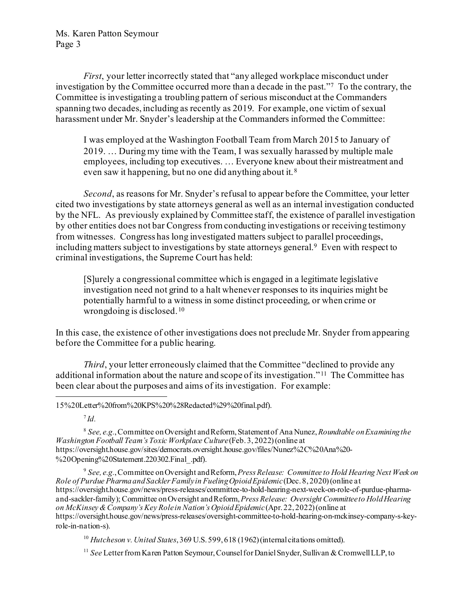*First*, your letter incorrectly stated that "any alleged workplace misconduct under investigation by the Committee occurred more than a decade in the past."[7](#page-2-0) To the contrary, the Committee is investigating a troubling pattern of serious misconduct at the Commanders spanning two decades, including as recently as 2019. For example, one victim of sexual harassment under Mr. Snyder's leadership at the Commanders informed the Committee:

I was employed at the Washington Football Team from March 2015 to January of 2019. … During my time with the Team, I was sexually harassed by multiple male employees, including top executives. … Everyone knew about their mistreatment and even saw it happening, but no one did anything about it. [8](#page-2-1)

*Second*, as reasons for Mr. Snyder's refusal to appear before the Committee, your letter cited two investigations by state attorneys general as well as an internal investigation conducted by the NFL. As previously explained by Committee staff, the existence of parallel investigation by other entities does not bar Congress from conducting investigations or receiving testimony from witnesses. Congress has long investigated matters subject to parallel proceedings, including matters subject to investigations by state attorneys general.<sup>9</sup> Even with respect to criminal investigations, the Supreme Court has held:

[S]urely a congressional committee which is engaged in a legitimate legislative investigation need not grind to a halt whenever responses to its inquiries might be potentially harmful to a witness in some distinct proceeding, or when crime or wrongdoing is disclosed. [10](#page-2-3)

In this case, the existence of other investigations does not preclude Mr. Snyder from appearing before the Committee for a public hearing.

*Third*, your letter erroneously claimed that the Committee "declined to provide any additional information about the nature and scope of its investigation." [11](#page-2-4) The Committee has been clear about the purposes and aims of its investigation. For example:

15%20Letter%20from%20KPS%20%28Redacted%29%20final.pdf).

 $^7$ *Id.* 

<span id="page-2-1"></span><span id="page-2-0"></span><sup>8</sup> *See, e.g.*,Committee on Oversight and Reform, Statementof Ana Nunez, *Roundtable on Examining the Washington Football Team's Toxic Workplace Culture*(Feb. 3, 2022) (online at https://oversight.house.gov/sites/democrats.oversight.house.gov/files/Nunez%2C%20Ana%20- %20Opening%20Statement.220302.Final .pdf).

<span id="page-2-2"></span><sup>9</sup> *See, e.g.*,Committee on Oversight and Reform, *Press Release: Committee to Hold Hearing Next Week on Role of Purdue Pharma and Sackler Family in Fueling Opioid Epidemic*(Dec. 8, 2020)(online at https://oversight.house.gov/news/press-releases/committee-to-hold-hearing-next-week-on-role-of-purdue-pharmaand-sackler-family); Committee on Oversight and Reform, *Press Release: Oversight Committee to Hold Hearing on McKinsey & Company's Key Role in Nation's Opioid Epidemic* (Apr. 22, 2022) (online at https://oversight.house.gov/news/press-releases/oversight-committee-to-hold-hearing-on-mckinsey-company-s-keyrole-in-nation-s).

<span id="page-2-3"></span><sup>10</sup> *Hutcheson v. United States*, 369 U.S. 599, 618 (1962) (internal citations omitted).

<span id="page-2-4"></span><sup>11</sup> *See* Letter from Karen Patton Seymour, Counsel for Daniel Snyder, Sullivan & Cromwell LLP, to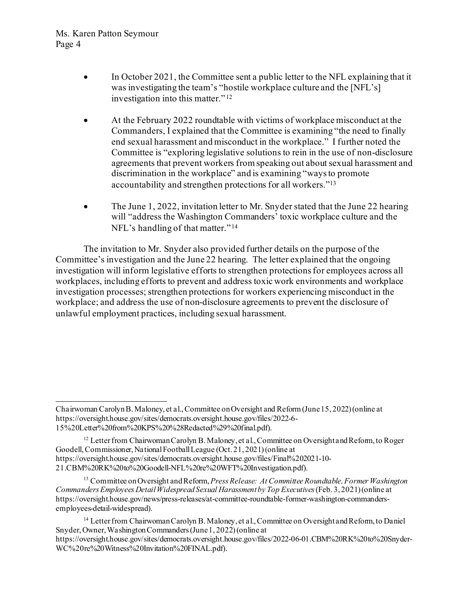- In October 2021, the Committee sent a public letter to the NFL explaining that it was investigating the team's "hostile workplace culture and the [NFL's] investigation into this matter."<sup>[12](#page-3-0)</sup>
- At the February 2022 roundtable with victims of workplace misconduct at the Commanders, I explained that the Committee is examining "the need to finally end sexual harassment and misconduct in the workplace." I further noted the Committee is "exploring legislative solutions to rein in the use of non-disclosure agreements that prevent workers from speaking out about sexual harassment and discrimination in the workplace" and is examining "ways to promote accountability and strengthen protections for all workers.["13](#page-3-1)
- The June 1, 2022, invitation letter to Mr. Snyder stated that the June 22 hearing will "address the Washington Commanders' toxic workplace culture and the NFL's handling of that matter."<sup>[14](#page-3-2)</sup>

The invitation to Mr. Snyder also provided further details on the purpose of the Committee's investigation and the June 22 hearing. The letter explained that the ongoing investigation will inform legislative efforts to strengthen protections for employees across all workplaces, including efforts to prevent and address toxic work environments and workplace investigation processes; strengthen protections for workers experiencing misconduct in the workplace; and address the use of non-disclosure agreements to prevent the disclosure of unlawful employment practices, including sexual harassment.

Chairwoman Carolyn B. Maloney, et al., Committee on Oversight and Reform (June 15, 2022) (online at https://oversight.house.gov/sites/democrats.oversight.house.gov/files/2022-6- 15%20Letter%20from%20KPS%20%28Redacted%29%20final.pdf).

<span id="page-3-0"></span><sup>&</sup>lt;sup>12</sup> Letter from Chairwoman Carolyn B. Maloney, et al., Committee on Oversight and Reform, to Roger Goodell, Commissioner, National Football League (Oct. 21, 2021) (online at https://oversight.house.gov/sites/democrats.oversight.house.gov/files/Final%202021-10- 21.CBM%20RK%20to%20Goodell-NFL%20re%20WFT%20Investigation.pdf).

<span id="page-3-1"></span><sup>13</sup> Committee on Oversight and Reform, *Press Release: At Committee Roundtable, Former Washington Commanders Employees Detail Widespread Sexual Harassment by Top Executives*(Feb. 3, 2021) (online at https://oversight.house.gov/news/press-releases/at-committee-roundtable-former-washington-commandersemployees-detail-widespread).

<span id="page-3-2"></span><sup>&</sup>lt;sup>14</sup> Letter from Chairwoman Carolyn B. Maloney, et al., Committee on Oversight and Reform, to Daniel Snyder, Owner, Washington Commanders (June 1, 2022) (online at https://oversight.house.gov/sites/democrats.oversight.house.gov/files/2022-06-01.CBM%20RK%20to%20Snyder-WC%20re%20Witness%20Invitation%20FINAL.pdf).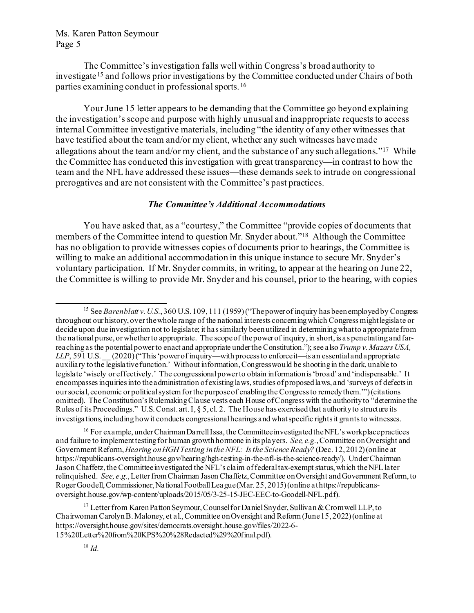The Committee's investigation falls well within Congress's broad authority to investigate [15](#page-4-0) and follows prior investigations by the Committee conducted under Chairs of both parties examining conduct in professional sports. [16](#page-4-1)

Your June 15 letter appears to be demanding that the Committee go beyond explaining the investigation's scope and purpose with highly unusual and inappropriate requests to access internal Committee investigative materials, including "the identity of any other witnesses that have testified about the team and/or my client, whether any such witnesses have made allegations about the team and/or my client, and the substance of any such allegations.["17](#page-4-2) While the Committee has conducted this investigation with great transparency—in contrast to how the team and the NFL have addressed these issues—these demands seek to intrude on congressional prerogatives and are not consistent with the Committee's past practices.

#### *The Committee's Additional Accommodations*

You have asked that, as a "courtesy," the Committee "provide copies of documents that members of the Committee intend to question Mr. Snyder about.["18](#page-4-3) Although the Committee has no obligation to provide witnesses copies of documents prior to hearings, the Committee is willing to make an additional accommodation in this unique instance to secure Mr. Snyder's voluntary participation. If Mr. Snyder commits, in writing, to appear at the hearing on June 22, the Committee is willing to provide Mr. Snyder and his counsel, prior to the hearing, with copies

<span id="page-4-1"></span><sup>16</sup> For example, under Chairman Darrell Issa, the Committee investigated the NFL's workplace practices and failure to implement testing for human growth hormone in its players. *See, e.g.*, Committee on Oversight and Government Reform, *Hearing onHGH Testing in the NFL: Is the Science Ready?* (Dec. 12, 2012) (online at https://republicans-oversight.house.gov/hearing/hgh-testing-in-the-nfl-is-the-science-ready/). UnderChairman Jason Chaffetz, the Committee investigated the NFL's claim of federal tax-exempt status, which the NFL later relinquished. *See, e.g.*, Letter from Chairman Jason Chaffetz, Committee on Oversight and Government Reform, to Roger Goodell, Commissioner, National Football League (Mar. 25, 2015) (online at https://republicansoversight.house.gov/wp-content/uploads/2015/05/3-25-15-JEC-EEC-to-Goodell-NFL.pdf).

<span id="page-4-3"></span><span id="page-4-2"></span><sup>17</sup> Letter from Karen Patton Seymour, Counsel for Daniel Snyder, Sullivan & Cromwell LLP, to Chairwoman Carolyn B. Maloney, et al., Committee on Oversight and Reform (June 15, 2022) (online at https://oversight.house.gov/sites/democrats.oversight.house.gov/files/2022-6- 15%20Letter%20from%20KPS%20%28Redacted%29%20final.pdf).

<span id="page-4-0"></span><sup>&</sup>lt;sup>15</sup> See *Barenblatt v. U.S.*, 360 U.S. 109, 111 (1959) ("The power of inquiry has been employed by Congress throughout our history, over the whole range of the national interests concerning which Congress might legislate or decide upon due investigation not to legislate; it has similarly been utilized in determining what to appropriate from the national purse, or whether to appropriate. The scope of the power of inquiry, in short, is as penetrating and farreaching as the potential power to enact and appropriate under the Constitution."); see also*Trump v. Mazars USA, LLP*, 591 U.S. \_\_ (2020) ("This 'power of inquiry—with process to enforce it—is an essential and appropriate auxiliary to the legislative function.' Without information, Congress would be shooting in the dark, unable to legislate 'wisely or effectively.' The congressional power to obtain information is 'broad' and 'indispensable.' It encompasses inquiries into the administration of existing laws, studies of proposed laws, and 'surveys of defects in our social, economic or political system for the purpose of enabling the Congress to remedy them.'") (citations omitted). The Constitution's Rulemaking Clause vests each House of Congress with the authority to "determine the Rules of its Proceedings." U.S. Const. art. I, § 5, cl. 2. The House has exercised that authority to structure its investigations, including how it conducts congressional hearings and what specific rights it grants to witnesses.

<sup>18</sup> *Id.*